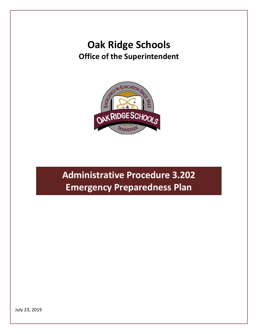## **Oak Ridge Schools Office of the Superintendent**



# **Administrative Procedure 3.202 Emergency Preparedness Plan**

July 23, 2019